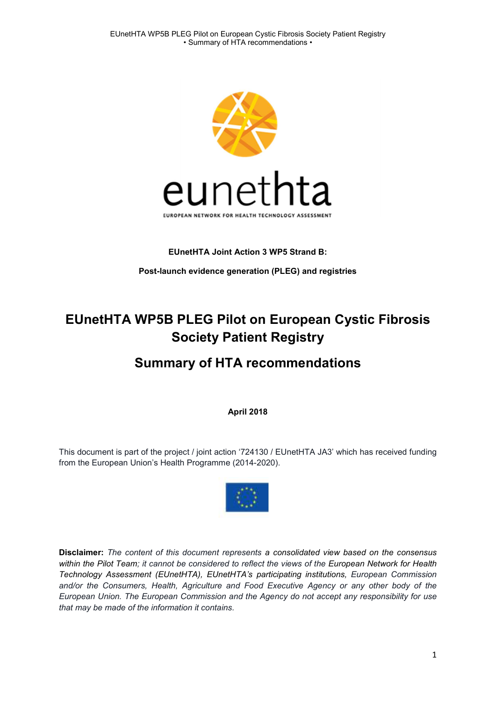

### EUnetHTA Joint Action 3 WP5 Strand B:

Post-launch evidence generation (PLEG) and registries

# EUnetHTA WP5B PLEG Pilot on European Cystic Fibrosis Society Patient Registry

# Summary of HTA recommendations

April 2018

This document is part of the project / joint action '724130 / EUnetHTA JA3' which has received funding from the European Union's Health Programme (2014-2020).



Disclaimer: The content of this document represents a consolidated view based on the consensus within the Pilot Team; it cannot be considered to reflect the views of the European Network for Health Technology Assessment (EUnetHTA), EUnetHTA's participating institutions, European Commission and/or the Consumers, Health, Agriculture and Food Executive Agency or any other body of the European Union. The European Commission and the Agency do not accept any responsibility for use that may be made of the information it contains.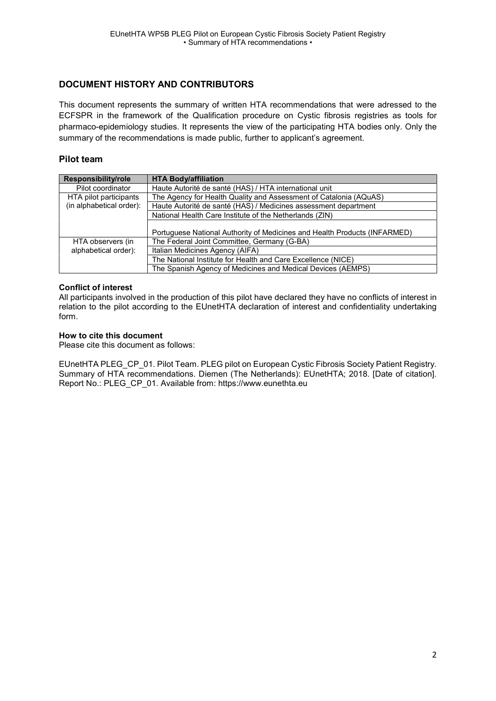### DOCUMENT HISTORY AND CONTRIBUTORS

This document represents the summary of written HTA recommendations that were adressed to the ECFSPR in the framework of the Qualification procedure on Cystic fibrosis registries as tools for pharmaco-epidemiology studies. It represents the view of the participating HTA bodies only. Only the summary of the recommendations is made public, further to applicant's agreement.

### Pilot team

| Responsibility/role      | <b>HTA Body/affiliation</b>                                               |
|--------------------------|---------------------------------------------------------------------------|
| Pilot coordinator        | Haute Autorité de santé (HAS) / HTA international unit                    |
| HTA pilot participants   | The Agency for Health Quality and Assessment of Catalonia (AQuAS)         |
| (in alphabetical order): | Haute Autorité de santé (HAS) / Medicines assessment department           |
|                          | National Health Care Institute of the Netherlands (ZIN)                   |
|                          | Portuguese National Authority of Medicines and Health Products (INFARMED) |
| HTA observers (in        | The Federal Joint Committee, Germany (G-BA)                               |
| alphabetical order):     | Italian Medicines Agency (AIFA)                                           |
|                          | The National Institute for Health and Care Excellence (NICE)              |
|                          | The Spanish Agency of Medicines and Medical Devices (AEMPS)               |

#### Conflict of interest

All participants involved in the production of this pilot have declared they have no conflicts of interest in relation to the pilot according to the EUnetHTA declaration of interest and confidentiality undertaking form.

#### How to cite this document

Please cite this document as follows:

EUnetHTA PLEG\_CP\_01. Pilot Team. PLEG pilot on European Cystic Fibrosis Society Patient Registry. Summary of HTA recommendations. Diemen (The Netherlands): EUnetHTA; 2018. [Date of citation]. Report No.: PLEG\_CP\_01. Available from: https://www.eunethta.eu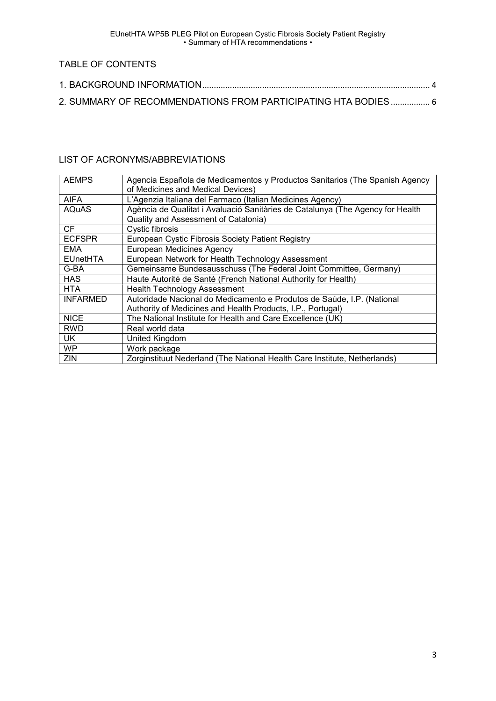EUnetHTA WP5B PLEG Pilot on European Cystic Fibrosis Society Patient Registry • Summary of HTA recommendations •

# TABLE OF CONTENTS

| 2. SUMMARY OF RECOMMENDATIONS FROM PARTICIPATING HTA BODIES 6 |  |
|---------------------------------------------------------------|--|

## LIST OF ACRONYMS/ABBREVIATIONS

| <b>AEMPS</b>    | Agencia Española de Medicamentos y Productos Sanitarios (The Spanish Agency    |
|-----------------|--------------------------------------------------------------------------------|
|                 | of Medicines and Medical Devices)                                              |
| <b>AIFA</b>     | L'Agenzia Italiana del Farmaco (Italian Medicines Agency)                      |
| <b>AQuAS</b>    | Agència de Qualitat i Avaluació Sanitàries de Catalunya (The Agency for Health |
|                 | Quality and Assessment of Catalonia)                                           |
| CF.             | Cystic fibrosis                                                                |
| <b>ECFSPR</b>   | European Cystic Fibrosis Society Patient Registry                              |
| <b>EMA</b>      | European Medicines Agency                                                      |
| <b>EUnetHTA</b> | European Network for Health Technology Assessment                              |
| G-BA            | Gemeinsame Bundesausschuss (The Federal Joint Committee, Germany)              |
| <b>HAS</b>      | Haute Autorité de Santé (French National Authority for Health)                 |
| <b>HTA</b>      | <b>Health Technology Assessment</b>                                            |
| <b>INFARMED</b> | Autoridade Nacional do Medicamento e Produtos de Saúde, I.P. (National         |
|                 | Authority of Medicines and Health Products, I.P., Portugal)                    |
| <b>NICE</b>     | The National Institute for Health and Care Excellence (UK)                     |
| <b>RWD</b>      | Real world data                                                                |
| UK.             | United Kingdom                                                                 |
| <b>WP</b>       | Work package                                                                   |
| ZIN             | Zorginstituut Nederland (The National Health Care Institute, Netherlands)      |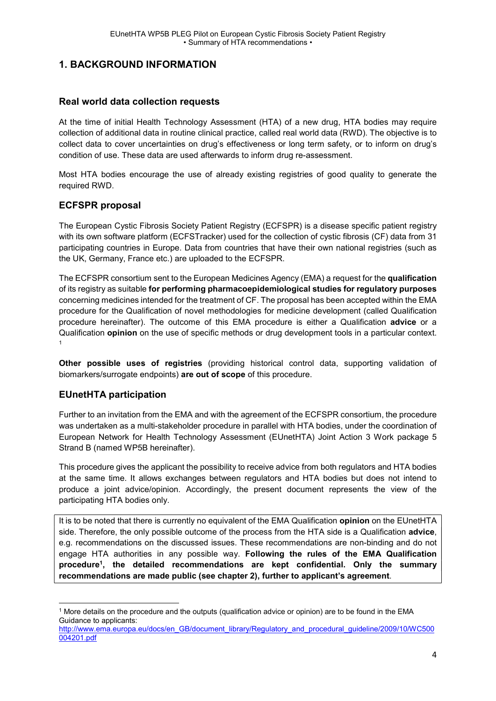## 1. BACKGROUND INFORMATION

### Real world data collection requests

At the time of initial Health Technology Assessment (HTA) of a new drug, HTA bodies may require collection of additional data in routine clinical practice, called real world data (RWD). The objective is to collect data to cover uncertainties on drug's effectiveness or long term safety, or to inform on drug's condition of use. These data are used afterwards to inform drug re-assessment.

Most HTA bodies encourage the use of already existing registries of good quality to generate the required RWD.

### ECFSPR proposal

The European Cystic Fibrosis Society Patient Registry (ECFSPR) is a disease specific patient registry with its own software platform (ECFSTracker) used for the collection of cystic fibrosis (CF) data from 31 participating countries in Europe. Data from countries that have their own national registries (such as the UK, Germany, France etc.) are uploaded to the ECFSPR.

The ECFSPR consortium sent to the European Medicines Agency (EMA) a request for the qualification of its registry as suitable for performing pharmacoepidemiological studies for regulatory purposes concerning medicines intended for the treatment of CF. The proposal has been accepted within the EMA procedure for the Qualification of novel methodologies for medicine development (called Qualification procedure hereinafter). The outcome of this EMA procedure is either a Qualification advice or a Qualification **opinion** on the use of specific methods or drug development tools in a particular context. 1

Other possible uses of registries (providing historical control data, supporting validation of biomarkers/surrogate endpoints) are out of scope of this procedure.

### EUnetHTA participation

Further to an invitation from the EMA and with the agreement of the ECFSPR consortium, the procedure was undertaken as a multi-stakeholder procedure in parallel with HTA bodies, under the coordination of European Network for Health Technology Assessment (EUnetHTA) Joint Action 3 Work package 5 Strand B (named WP5B hereinafter).

This procedure gives the applicant the possibility to receive advice from both regulators and HTA bodies at the same time. It allows exchanges between regulators and HTA bodies but does not intend to produce a joint advice/opinion. Accordingly, the present document represents the view of the participating HTA bodies only.

It is to be noted that there is currently no equivalent of the EMA Qualification opinion on the EUnetHTA side. Therefore, the only possible outcome of the process from the HTA side is a Qualification advice, e.g. recommendations on the discussed issues. These recommendations are non-binding and do not engage HTA authorities in any possible way. Following the rules of the EMA Qualification procedure<sup>1</sup>, the detailed recommendations are kept confidential. Only the summary recommendations are made public (see chapter 2), further to applicant's agreement.

 1 More details on the procedure and the outputs (qualification advice or opinion) are to be found in the EMA Guidance to applicants:

http://www.ema.europa.eu/docs/en\_GB/document\_library/Regulatory\_and\_procedural\_guideline/2009/10/WC500 004201.pdf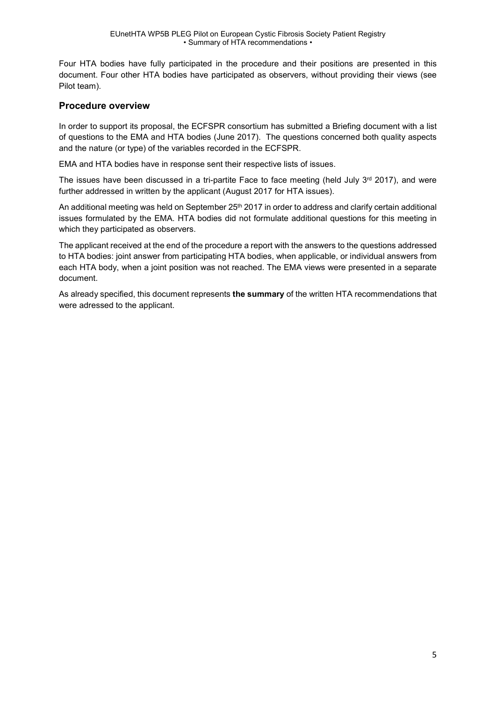Four HTA bodies have fully participated in the procedure and their positions are presented in this document. Four other HTA bodies have participated as observers, without providing their views (see Pilot team).

### Procedure overview

In order to support its proposal, the ECFSPR consortium has submitted a Briefing document with a list of questions to the EMA and HTA bodies (June 2017). The questions concerned both quality aspects and the nature (or type) of the variables recorded in the ECFSPR.

EMA and HTA bodies have in response sent their respective lists of issues.

The issues have been discussed in a tri-partite Face to face meeting (held July  $3<sup>rd</sup>$  2017), and were further addressed in written by the applicant (August 2017 for HTA issues).

An additional meeting was held on September 25<sup>th</sup> 2017 in order to address and clarify certain additional issues formulated by the EMA. HTA bodies did not formulate additional questions for this meeting in which they participated as observers.

The applicant received at the end of the procedure a report with the answers to the questions addressed to HTA bodies: joint answer from participating HTA bodies, when applicable, or individual answers from each HTA body, when a joint position was not reached. The EMA views were presented in a separate document.

As already specified, this document represents the summary of the written HTA recommendations that were adressed to the applicant.